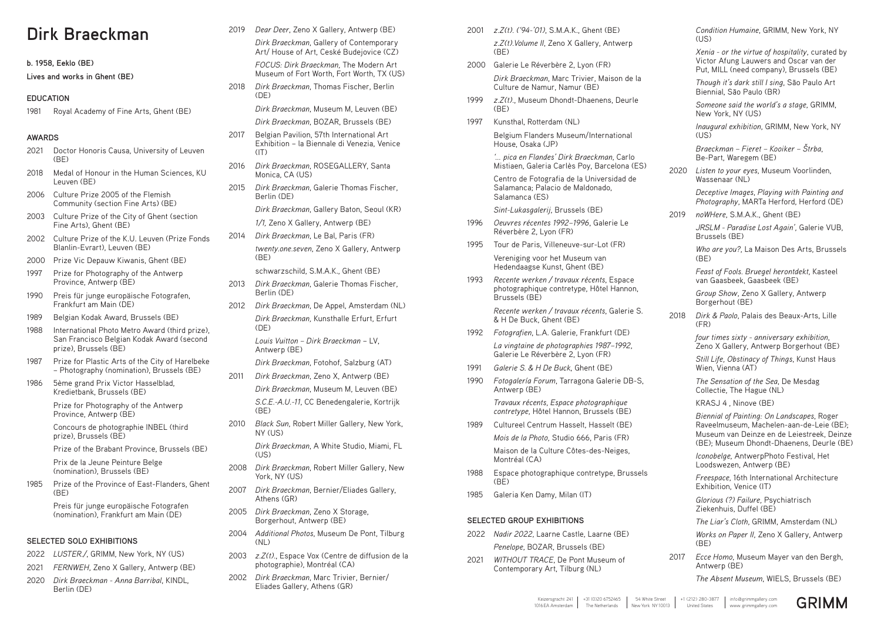# **Dirk Braeckman**

**b. 1958, Eeklo (BE)**

**Lives and works in Ghent (BE)**

### **EDUCATION**

1981 Royal Academy of Fine Arts, Ghent (BE)

#### **AWARDS**

- 2021 Doctor Honoris Causa, University of Leuven  $(BF)$
- 2018 Medal of Honour in the Human Sciences, KU Leuven (BE)
- 2006 Culture Prize 2005 of the Flemish Community (section Fine Arts) (BE)
- 2003 Culture Prize of the City of Ghent (section Fine Arts), Ghent (BE)
- 2002 Culture Prize of the K.U. Leuven (Prize Fonds Blanlin-Evrart), Leuven (BE)
- 2000 Prize Vic Depauw Kiwanis, Ghent (BE)
- 1997 Prize for Photography of the Antwerp Province, Antwerp (BE)
- 1990 Preis für junge europäische Fotografen, Frankfurt am Main (DE)
- 1989 Belgian Kodak Award, Brussels (BE)
- 1988 International Photo Metro Award (third prize), San Francisco Belgian Kodak Award (second prize), Brussels (BE)
- 1987 Prize for Plastic Arts of the City of Harelbeke – Photography (nomination), Brussels (BE)
- 1986 5ème grand Prix Victor Hasselblad, Kredietbank, Brussels (BE)

2018 *Dirk Braeckman*, Thomas Fischer, Berlin  $(DF)$ 

Prize for Photography of the Antwerp Province, Antwerp (BE)

Concours de photographie INBEL (third prize), Brussels (BE)

Prize of the Brabant Province, Brussels (BE)

Prix de la Jeune Peinture Belge (nomination), Brussels (BE)

1985 Prize of the Province of East-Flanders, Ghent (BE)

> Preis für junge europäische Fotografen (nomination), Frankfurt am Main (DE)

*Dirk Braeckman*, A White Studio, Miami, FL  $(1)$ S)

### **SELECTED SOLO EXHIBITIONS**

- 2022 *LUSTER./*, GRIMM, New York, NY (US)
- 2021 *FERNWEH*, Zeno X Gallery, Antwerp (BE)
- 2020 *Dirk Braeckman Anna Barribal*, KINDL, Berlin (DE)

2019 *Dear Deer*, Zeno X Gallery, Antwerp (BE)

- 2001 *z.Z(t). ('94-'01)*, S.M.A.K., Ghent (BE) *z.Z(t).Volume II*, Zeno X Gallery, Antwerp (BE)
- 2000 Galerie Le Réverbère 2, Lyon (FR) *Dirk Braeckman*, Marc Trivier, Maison de la Culture de Namur, Namur (BE)
- 1999 *z.Z(t).*, Museum Dhondt-Dhaenens, Deurle (BE)
- 1997 Kunsthal, Rotterdam (NL)

*Dirk Braeckman*, Gallery of Contemporary Art/ House of Art, Ceské Budejovice (CZ)

*FOCUS: Dirk Braeckman,* The Modern Art Museum of Fort Worth, Fort Worth, TX (US)

*Dirk Braeckman*, Museum M, Leuven (BE)

*Dirk Braeckman*, BOZAR, Brussels (BE)

- 2017 Belgian Pavilion, 57th International Art Exhibition – la Biennale di Venezia, Venice  $(IT)$
- 2016 *Dirk Braeckman*, ROSEGALLERY, Santa Monica, CA (US)
- 2015 *Dirk Braeckman*, Galerie Thomas Fischer, Berlin (DE)

*Dirk Braeckman*, Gallery Baton, Seoul (KR)

*1/1,* Zeno X Gallery, Antwerp (BE)

2014 *Dirk Braeckman*, Le Bal, Paris (FR) *twenty.one.seven*, Zeno X Gallery, Antwerp (BE)

schwarzschild, S.M.A.K., Ghent (BE)

- 2013 *Dirk Braeckman*, Galerie Thomas Fischer, Berlin (DE)
- 2012 *Dirk Braeckman*, De Appel, Amsterdam (NL) *Dirk Braeckman,* Kunsthalle Erfurt, Erfurt (DE) *Louis Vuitton – Dirk Braeckman* – LV, Antwerp (BE)

*Condition Humaine*, GRIMM, New York, NY  $(1|S)$ 

*Dirk Braeckman*, Fotohof, Salzburg (AT)

- 2011 *Dirk Braeckman*, Zeno X, Antwerp (BE) *Dirk Braeckman*, Museum M, Leuven (BE) *S.C.E.-A.U.-11*, CC Benedengalerie, Kortrijk
- (BE) 2010 *Black Sun*, Robert Miller Gallery, New York, NY (US)

*Who are you?*, La Maison Des Arts, Brussels  $(BF)$ 

- 2008 *Dirk Braeckman*, Robert Miller Gallery, New York, NY (US)
- 2007 *Dirk Braeckman*, Bernier/Eliades Gallery, Athens (GR)
- 2005 *Dirk Braeckman*, Zeno X Storage, Borgerhout, Antwerp (BE)
- 2004 *Additional Photos*, Museum De Pont, Tilburg  $(NI)$
- 2003 *z.Z(t).*, Espace Vox (Centre de diffusion de la photographie), Montréal (CA)
- 2002 *Dirk Braeckman*, Marc Trivier, Bernier/ Eliades Gallery, Athens (GR)

Belgium Flanders Museum/International House, Osaka (JP)

*'… pica en Flandes' Dirk Braeckman*, Carlo Mistiaen, Galeria Carlès Poy, Barcelona (ES)

Centro de Fotografia de la Universidad de Salamanca; Palacio de Maldonado, Salamanca (ES)

*Sint-Lukasgalerij*, Brussels (BE)

- 1996 *Oeuvres récentes 1992–1996*, Galerie Le Réverbère 2, Lyon (FR)
- 1995 Tour de Paris, Villeneuve-sur-Lot (FR) Vereniging voor het Museum van Hedendaagse Kunst, Ghent (BE)
- 1993 *Recente werken / travaux récents*, Espace photographique contretype, Hôtel Hannon, Brussels (BE)

*Recente werken / travaux récents*, Galerie S. & H De Buck, Ghent (BE)

1992 *Fotografien*, L.A. Galerie, Frankfurt (DE) *La vingtaine de photographies 1987–1992*,

Galerie Le Réverbère 2, Lyon (FR)

- 1991 *Galerie S. & H De Buck*, Ghent (BE)
- 1990 *Fotogalería Forum*, Tarragona Galerie DB-S, Antwerp (BE)

*Travaux récents, Espace photographique contretype*, Hôtel Hannon, Brussels (BE)

1989 Cultureel Centrum Hasselt, Hasselt (BE) *Mois de la Photo,* Studio 666, Paris (FR)

> Maison de la Culture Côtes-des-Neiges, Montréal (CA)

- 1988 Espace photographique contretype, Brussels (BE)
- 1985 Galeria Ken Damy, Milan (IT)

#### **SELECTED GROUP EXHIBITIONS**

- 2022 *Nadir 2022*, Laarne Castle, Laarne (BE) *Penelope*, BOZAR, Brussels (BE)
- 2021 *WITHOUT TRACE*, De Pont Museum of Contemporary Art, Tilburg (NL)

*Xenia - or the virtue of hospitality*, curated by Victor Afung Lauwers and Oscar van der Put, MILL (need company), Brussels (BE)

*Though it's dark still I sing*, São Paulo Art Biennial, São Paulo (BR)

*Someone said the world's a stage*, GRIMM, New York, NY (US)

*Inaugural exhibition*, GRIMM, New York, NY (US)

*Braeckman – Fieret – Kooiker – Štrba*, Be-Part, Waregem (BE)

2020 *Listen to your eyes*, Museum Voorlinden, Wassenaar (NL)

> *Deceptive Images*, *Playing with Painting and Photography*, MARTa Herford, Herford (DE)

2019 *noWHere*, S.M.A.K., Ghent (BE)

*JRSLM - Paradise Lost Again',* Galerie VUB, Brussels (BE)

*Feast of Fools. Bruegel herontdekt*, Kasteel van Gaasbeek, Gaasbeek (BE)

*Group Show*, Zeno X Gallery, Antwerp Borgerhout (BE)

2018 *Dirk & Paolo*, Palais des Beaux-Arts, Lille (FR)

> *four times sixty - anniversary exhibition*, Zeno X Gallery, Antwerp Borgerhout (BE)

*Still Life, Obstinacy of Things*, Kunst Haus Wien, Vienna (AT)

*The Sensation of the Sea*, De Mesdag Collectie, The Hague (NL)

KRASJ 4 , Ninove (BE)

*Biennial of Painting: On Landscapes*, Roger Raveelmuseum, Machelen-aan-de-Leie (BE); Museum van Deinze en de Leiestreek, Deinze (BE); Museum Dhondt-Dhaenens, Deurle (BE)

*Iconobelge*, AntwerpPhoto Festival, Het Loodswezen, Antwerp (BE)

*Freespace*, 16th International Architecture Exhibition, Venice (IT)

*Glorious (?) Failure,* Psychiatrisch Ziekenhuis, Duffel (BE)

*The Liar's Cloth*, GRIMM, Amsterdam (NL)

*Works on Paper II*, Zeno X Gallery, Antwerp (BE)

2017 *Ecce Homo*, Museum Mayer van den Bergh, Antwerp (BE)

*The Absent Museum*, WIELS, Brussels (BE)

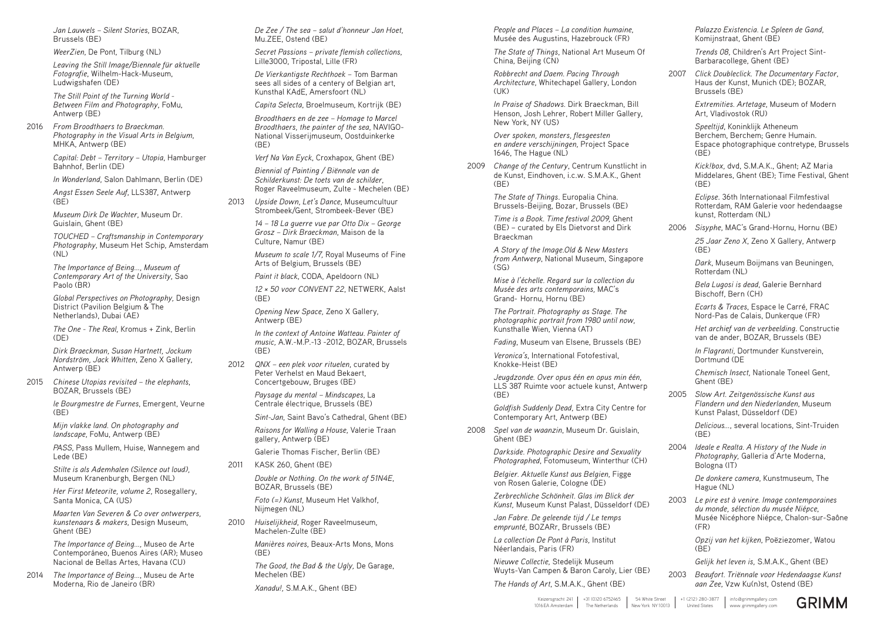*Jan Lauwels – Silent Stories*, BOZAR, Brussels (BE)

*WeerZien*, De Pont, Tilburg (NL)

*Leaving the Still Image/Biennale für aktuelle Fotografie*, Wilhelm-Hack-Museum, Ludwigshafen (DE)

*The Still Point of the Turning World - Between Film and Photography*, FoMu, Antwerp (BE)

*Angst Essen Seele Auf*, LLS387, Antwerp  $(BF)$ 

2016 *From Broodthaers to Braeckman. Photography in the Visual Arts in Belgium*, MHKA, Antwerp (BE)

> *Capital: Debt – Territory – Utopia*, Hamburger Bahnhof, Berlin (DE)

*The One - The Real,* Kromus + Zink, Berlin  $(DF)$ 

*In Wonderland*, Salon Dahlmann, Berlin (DE)

*le Bourgmestre de Furnes*, Emergent, Veurne  $(BF)$ 

*Museum Dirk De Wachter*, Museum Dr. Guislain, Ghent (BE)

*TOUCHED – Craftsmanship in Contemporary Photography*, Museum Het Schip, Amsterdam (NL)

*The Importance of Being…, Museum of Contemporary Art of the University*, Sao Paolo (BR)

*Global Perspectives on Photography,* Design District (Pavilion Belgium & The Netherlands), Dubai (AE)

*De Zee / The sea – salut d'honneur Jan Hoet*, Mu.ZFF, Ostend (BF)

*Secret Passions – private flemish collections*, Lille3000, Tripostal, Lille (FR)

*Dirk Braeckman, Susan Hartnett, Jockum Nordström, Jack Whitten*, Zeno X Gallery, Antwerp (BE)

2015 *Chinese Utopias revisited – the elephants*, BOZAR, Brussels (BE)

> *Mijn vlakke land. On photography and landscape*, FoMu, Antwerp (BE)

*PASS*, Pass Mullem, Huise, Wannegem and Lede (BE)

*Stilte is als Ademhalen (Silence out loud),* Museum Kranenburgh, Bergen (NL)

*Her First Meteorite, volume 2*, Rosegallery, Santa Monica, CA (US)

*Maarten Van Severen & Co over ontwerpers, kunstenaars & makers*, Design Museum, Ghent (BE)

*The Importance of Being…,* Museo de Arte Contemporáneo, Buenos Aires (AR); Museo Nacional de Bellas Artes, Havana (CU)

2014 *The Importance of Being…*, Museu de Arte Moderna, Rio de Janeiro (BR)

*Over spoken, monsters, flesgeesten en andere verschijningen*, Project Space 1646. The Hague (NL)

*De Vierkantigste Rechthoek –* Tom Barman sees all sides of a centery of Belgian art, Kunsthal KAdE, Amersfoort (NL)

*Capita Selecta*, Broelmuseum, Kortrijk (BE)

*Broodthaers en de zee – Homage to Marcel Broodthaers, the painter of the sea*, NAVIGO-National Visserijmuseum, Oostduinkerke (BE)

*Verf Na Van Eyck*, Croxhapox, Ghent (BE)

*Biennial of Painting / Biënnale van de Schilderkunst: De toets van de schilder*, Roger Raveelmuseum, Zulte - Mechelen (BE)

2013 *Upside Down, Let's Dance*, Museumcultuur Strombeek/Gent, Strombeek-Bever (BE)

> *14 – 18 La guerre vue par Otto Dix – George Grosz – Dirk Braeckman*, Maison de la Culture, Namur (BE)

*Museum to scale 1/7,* Royal Museums of Fine Arts of Belgium, Brussels (BE)

*Paint it black*, CODA, Apeldoorn (NL)

*12 × 50 voor CONVENT 22*, NETWERK, Aalst (BE)

*Opening New Space,* Zeno X Gallery, Antwerp (BE)

*In the context of Antoine Watteau. Painter of music,* A.W.-M.P.-13 -2012, BOZAR, Brussels (BE)

*Speeltijd*, Koninklijk Atheneum Berchem, Berchem; Genre Humain. Espace photographique contretype, Brussels  $(BF)$ 

2012 *QNX – een plek voor rituelen*, curated by Peter Verhelst en Maud Bekaert, Concertgebouw, Bruges (BE)

> *Paysage du mental – Mindscapes*, La Centrale électrique, Brussels (BE)

*Sint-Jan*, Saint Bavo's Cathedral, Ghent (BE)

*Raisons for Walling a House*, Valerie Traan gallery, Antwerp (BE)

*Ecarts & Traces*, Espace le Carré, FRAC Nord-Pas de Calais, Dunkerque (FR)

Galerie Thomas Fischer, Berlin (BE)

2011 KASK 260, Ghent (BE)

*In Flagranti*, Dortmunder Kunstverein, Dortmund (DE

*Double or Nothing. On the work of 51N4E*, BOZAR, Brussels (BE)

*Foto (=) Kunst,* Museum Het Valkhof, Nijmegen (NL)

*Delicious…*, several locations, Sint-Truiden  $(BF)$ 

2010 *Huiselijkheid*, Roger Raveelmuseum, Machelen-Zulte (BE)

> *Manières noires*, Beaux-Arts Mons, Mons (BE)

> *The Good, the Bad & the Ugly,* De Garage, Mechelen (BE)

*Xanadu!,* S.M.A.K., Ghent (BE)

*People and Places – La condition humaine*, Musée des Augustins, Hazebrouck (FR)

*The State of Things*, National Art Museum Of China, Beijing (CN)

*Robbrecht and Daem. Pacing Through Architecture*, Whitechapel Gallery, London (UK)

*In Praise of Shadows.* Dirk Braeckman, Bill Henson, Josh Lehrer, Robert Miller Gallery, New York, NY (US)

2009 *Change of the Century*, Centrum Kunstlicht in de Kunst, Eindhoven, i.c.w. S.M.A.K., Ghent (BE)

> *The State of Things*. Europalia China. Brussels-Beijing, Bozar, Brussels (BE)

*Time is a Book. Time festival 2009,* Ghent (BE) – curated by Els Dietvorst and Dirk Braeckman

*A Story of the Image.Old & New Masters from Antwerp*, National Museum, Singapore (SG)

*Mise à l'échelle. Regard sur la collection du Musée des arts contemporains,* MAC's Grand- Hornu, Hornu (BE)

*The Portrait. Photography as Stage. The photographic portrait from 1980 until now,* Kunsthalle Wien, Vienna (AT)

*Fading*, Museum van Elsene, Brussels (BE)

*Veronica's*, International Fotofestival, Knokke-Heist (BE)

*Jeugdzonde. Over opus één en opus min één*, LLS 387 Ruimte voor actuele kunst, Antwerp (BE)

*Goldfish Suddenly Dead,* Extra City Centre for Contemporary Art, Antwerp (BE)

2008 *Spel van de waanzin*, Museum Dr. Guislain, Ghent (BE)

> *Darkside. Photographic Desire and Sexuality Photographed*, Fotomuseum, Winterthur (CH)

*Belgier. Aktuelle Kunst aus Belgien*, Figge von Rosen Galerie, Cologne (DE)

*Zerbrechliche Schönheit. Glas im Blick der Kunst,* Museum Kunst Palast, Düsseldorf (DE)

*Jan Fabre. De geleende tijd / Le temps emprunté*, BOZARr, Brussels (BE)

*La collection De Pont à Paris,* Institut Néerlandais, Paris (FR)

*Nieuwe Collectie*, Stedelijk Museum Wuyts-Van Campen & Baron Caroly, Lier (BE)

*The Hands of Art*, S.M.A.K., Ghent (BE)

*Palazzo Existencia. Le Spleen de Gand*, Komijnstraat, Ghent (BE)

*Trends 08*, Children's Art Project Sint-Barbaracollege, Ghent (BE)

2007 *Click Doubleclick. The Documentary Factor*, Haus der Kunst, Munich (DE); BOZAR, Brussels (BE)

> *Extremities. Artetage*, Museum of Modern Art, Vladivostok (RU)

*Kick!box,* dvd, S.M.A.K., Ghent; AZ Maria Middelares, Ghent (BE); Time Festival, Ghent (BE)

*Eclipse*. 36th Internationaal Filmfestival Rotterdam, RAM Galerie voor hedendaagse kunst, Rotterdam (NL)

2006 *Sisyphe*, MAC's Grand-Hornu, Hornu (BE) *25 Jaar Zeno X*, Zeno X Gallery, Antwerp (BE)

> *Dark*, Museum Boijmans van Beuningen, Rotterdam (NL)

*Bela Lugosi is dead*, Galerie Bernhard Bischoff, Bern (CH)

*Het archief van de verbeelding*. Constructie van de ander, BOZAR, Brussels (BE)

*Chemisch Insect,* Nationale Toneel Gent, Ghent (BE)

2005 *Slow Art. Zeitgenössische Kunst aus Flandern und den Niederlanden*, Museum Kunst Palast, Düsseldorf (DE)

2004 *Ideale e Realta. A History of the Nude in Photography,* Galleria d'Arte Moderna, Bologna (IT)

> *De donkere camera*, Kunstmuseum, The Hague (NL)

2003 *Le pire est à venire. Image contemporaines du monde, sélection du musée Niépce*, Musée Nicéphore Niépce, Chalon-sur-Saône (FR)

> *Opzij van het kijken*, Poëziezomer, Watou (BE)

*Gelijk het leven is,* S.M.A.K., Ghent (BE)

2003 *Beaufort. Triënnale voor Hedendaagse Kunst aan Zee*, Vzw Ku(n)st, Ostend (BE)